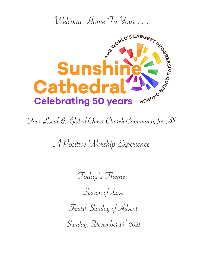

Your Local & Global Queer Church Community for All

A Positive Worship Experience

Today's Theme

Season of Love

Fourth Sunday of Advent

Sunday, December 19th 2021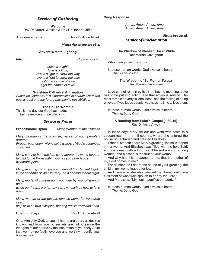# *Service of Gathering*

**Welcome**

Rev Dr Durrell Watkins & Rev Dr Robert Griffin

**Announcements** Rev Dr Anne Atwell

*Please rise as you are able.*

# **Advent Wreath Lighting**

*Introit Hope is a Light* 

*Love is a light, love is a light, love is a light to show the way, love is a light to show the way. Light the candle of love, light the candle of love.*

# **Sunshine Cathedral Affirmation**

*Sunshine Cathedral is a different kind of church where the past is past and the future has infinite possibilities.*

# **The Call to Worship**

This is the day our God has made. *Let us rejoice and be glad in it.*

# *Service of Praise*

**Processional Hymn** *Mary, Woman of the Promise* 

*Mary, woman of the promise; vessel of your people's dreams:*

*through your open, willing spirit waters of God's goodness streamed.*

*Mary, song of holy wisdom sung before the world began: faithful to the Word within you, as you bore God's wondrous plan.*

*Mary, morning star of justice; mirror of the Radiant Light: in the shadows of life's journey, be a beacon for our sight.*

*Mary, model of compassion; wounded by your offspring's pain:*

*when our hearts are torn by sorrow, teach us how to love again.*

*Mary, woman of the gospel; humble home for treasured seed:*

*help us to be true disciples, bearing fruit in word and deed.*

**Opening Prayer**  Rev Dr Anne Atwell

*One:* Almighty God, to you all hearts are open, all desires known, and from you no secrets are hid. Cleanse the thoughts of our hearts by the inspiration of your holy Spirit that we may perfectly love you and worthily magnify your holy names.

*Amen. Amen. Amen, Amen. Amen. Amen. Amen, Amen.*

*Please be seated.*

# *Service of Proclamation*

**The Wisdom of Blessed Oscar Wilde**  Rev Marian Cavagnaro

Who, being loved, is poor?

In these human words, God's voice is heard. *Thanks be to God.*

# **The Wisdom of St. Mother Teresa** Rev Marian Cavagnaro

Love cannot remain by itself – it has no meaning. Love has to be put into action, and that action is service. The most terrible poverty is loneliness, and the feeling of being unloved. If you judge people, you have no time to love them.

In these human words, God's voice is heard. *Thanks be to God.*

# **A Reading from Luke's Gospel (1.39-46)**  Rev Dr Anne Atwell

In those days Mary set out and went with haste to a Judean town in the hill country, where she entered the house of Zechariah and greeted Elizabeth.

When Elizabeth heard Mary's greeting, the child leaped in her womb. And Elizabeth was filled with the holy Spirit and exclaimed with a loud cry, "Blessed are you among women, and blessed is the fruit of your womb.

And why has this happened to me, that the mother of my Lord comes to me?

For as soon as I heard the sound of your greeting, the child in my womb leaped for joy.

And blessed is she who believed that there would be a fulfillment of what was spoken to her by the Lord."

And Mary said, "My soul magnifies the Lord…"

In these human words, God's voice is heard. *Thanks be to God.*

# **Sung Response**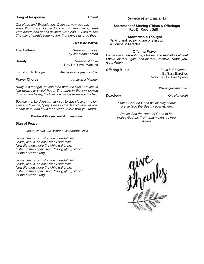# **Song of Response** *Advent*

*Our Hope and Expectation, O Jesus, now appear! Arise, thou Sun so longed for, o'er this benighted sphere! With hearts and hands uplifted, we plead, O Lord to see The day of earth's redemption, that brings us unto thee.*

### *Please be seated.*

| <b>The Anthem</b>           | Seasons of Love<br>by Jonathan Larson           |
|-----------------------------|-------------------------------------------------|
| <b>Homily</b>               | Season of Love<br><b>Rev Dr Durrell Watkins</b> |
| <b>Invitation to Prayer</b> | Please rise as you are able.                    |
| <b>Prayer Chorus</b>        | Away in a Manger                                |

*Away in a manger, no crib for a bed, the little Lord Jesus laid down his sweet head. The stars in the sky looked down where he lay, the little Lord Jesus asleep on the hay.*

*Be near me, Lord Jesus, I ask you to stay close by me forever and love me, I pray. Bless all the dear children in your tender care, and fit us for heaven to live with you there.*

### **Pastoral Prayer and Affirmations**

### **Sign of Peace**

*Jesus, Jesus, Oh, What a Wonderful Child* 

*Jesus, Jesus, oh, what a wonderful child. Jesus, Jesus, so holy, meek and mild: New life, new hope the child will bring. Listen to the angels sing, "Glory, glory, glory," let the heavens ring.*

*Jesus, Jesus, oh, what a wonderful child. Jesus, Jesus, so holy, meek and mild: New life, new hope the child will bring. Listen to the angels sing, "Glory, glory, glory," let the heavens ring.*

# *Service of Sacraments*

**Sacrament of Sharing (Tithes & Offerings)** Rev Dr Robert Griffin

# **Stewardship Thought**

"Giving and receiving are one in truth." A Course in Miracles

### **Offering Prayer**

*Divine Love, through me, blesses and multiplies all that I have, all that I give, and all that I receive. Thank you, God. Amen.*

**Offering Music** *Love is Christmas* By Sara Bareilles Performed by Tara Sperry

# *Rise as you are able.*

**Doxology** *Old Hundreth*

*Praise God the Good we all may share; praise God the Beauty everywhere.*

*Praise God the Hope of Good to be; praise God the Truth that makes us free. Amen.*

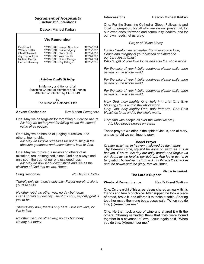# *Sacrament of Hospitality* **Eucharistic Intentions**

Deacon Michael Karban

# **We Remember**

| Paul Grant           | 12/19/1989 Joseph Novotny | 12/22/1994 |
|----------------------|---------------------------|------------|
| William DeBar        | 12/19/1994 Bruce Edgerly  | 12/23/1993 |
| Chad Blackwell       | 12/19/1996 Clara Scinto   | 12/23/2010 |
| Jay Tramontozzi      | 12/19/1996 Wes Brooks     | 12/24/2003 |
| <b>Richard Drews</b> | 12/19/1996 Chuck George   | 12/24/2004 |
| Herbert Hackney      | 12/19/1998 Ray Dillinger  | 12/25/1995 |
|                      |                           |            |

### *Rainbow Candle Lit Today*

In Memory and Honor of all Sunshine Cathedral Members and Friends Affected or Infected by COVID-19

> by The Sunshine Cathedral Staff

**Advent Confession** Rev Marian Cavagnaro

One: May we be forgiven for forgetting our divine nature. *All: May we be forgiven for failing to see the sacred value of all people.*

One: May we be healed of judging ourselves, and others, too harshly.

*All: May we forgive ourselves for not trusting in the absolute goodness and unconditional love of God.*

One: May we forgive ourselves and others of all mistakes, real or imagined, since God has always and only seen the truth of our endless goodness.

*All: May we now let our light shine and live as the children of God that we are. Amen.*

Sung Response *No Day But Today*

*There's only us, there's only this. Forget regret, or life is yours to miss.*

*No other road, no other way, no day but today. I can't control my destiny. I trust my soul, my only goal is just to be.*

*There's only now, there's only here. Give into love, or live in fear.*

*No other road, no other way, no day but today. No day but today.*

**Intercessions** Deacon Michael Karban

One: For the Sunshine Cathedral Global Fellowship and local congregation, for all who are on our prayer list, for our loved ones, for world and community leaders, and for our own needs, let us pray:

*Prayer of Divine Merc*y

*Loving Creator, we remember the wisdom and love, Peace and integrity of your blessed anointed one – our Lord Jesus Christ Who taught of your love for us and also the whole world*

*For the sake of your infinite goodness please smile upon us and on the whole world.*

*For the sake of your infinite goodness please smile upon us and on the whole world.*

*For the sake of your infinite goodness please smile upon us and on the whole world.*

*Holy God, holy mighty One, holy immortal One Give blessings to us and to the whole world. Holy God, holy mighty One, holy immortal One Give blessings to us and to the whole world.*

One: And with people all over the world we pray – *All: May peace prevail on earth.*

These prayers we offer in the spirit of Jesus, son of Mary, and as he did we continue to pray:

# **Model Prayer**

*Creator which art in heaven, hallowed be thy names. Thy kin-dom come, thy will be done on earth as it is in heaven. Give us this day our daily bread; and forgive us our debts as we forgive our debtors. And leave us not in temptation, but deliver us from evil. For thine is the kin-dom and the power and the glory, forever. Amen.*

# *Please be seated.*

# **The Lord's Supper**

**Words of Remembrance** Rev Dr Durrell Watkins

One: On the night of his arrest Jesus shared a meal with his friends and family of choice. After supper, he took a piece of bread, broke it, and offered it to those at table. Sharing together made them one body. Jesus said, "When you do this, (+)remember me."

One: He then took a cup of wine and shared it with the others. Sharing reminded them that they were bound together in a covenant of love. Jesus again said, "When you do this, (+)remember me."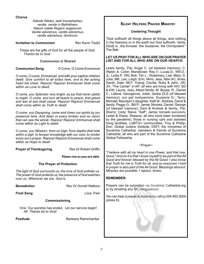**Chorus**

*Adeste fideles, laeti triumphantes; venite, venite in Bethlehem. Natum videte Regem angelorum. Venite adoremus, venite adoremus, venite adoremus, dominum.*

**Invitation to Communion Rev Kevin Tisdol** 

These are the gifts of God for all the people of God. *Thanks be to God.*

**Communion is Shared**

**Communion Song** *O Come, O Come Emmanuel*

*O come, O come, Emmanuel, and with your captive children dwell. Give comfort to all exiles here, and to the aching heart bid cheer. Rejoice! Rejoice! Emmanuel shall come within as Love to dwell.*

*O come, you Splendor very bright, as joy that never yields to might. O come, and turn all hearts to peace, that greed and war at last shall cease. Rejoice! Rejoice! Emmanuel shall come within as Truth to dwell.*

*O come, you Dayspring, come and cheer our spirits by our presence here. And dawn in every broken soul as vision that can see the whole. Rejoice! Rejoice! Emmanuel shall come within as Light to dwell.*

*O come, you Wisdom, from on high, from depths that hide within a sigh, to temper knowledge with our care, to render every act a prayer. Rejoice! Rejoice! Emmanuel shall come within as Hope to dwell.*

**Prayer of Thanksgiving Rev Dr Robert Griffin** 

*Please rise as you are able.*

# **The Prayer of Protection**

*The light of God surrounds us; the love of God enfolds us. The power of God protects us; the presence of God watches over us. Wherever we are, God is.*

| <b>Benediction</b>                                                           | <b>Rev Dr Durrell Watkins</b> |  |  |  |
|------------------------------------------------------------------------------|-------------------------------|--|--|--|
| <b>Final Song</b>                                                            | Love Train                    |  |  |  |
| <b>Commissioning</b>                                                         |                               |  |  |  |
| One: Our worship has ended. Let our service begin!<br>All: Thanks he to God! |                               |  |  |  |
| Postlude                                                                     | Barbara Ramcharitar           |  |  |  |
|                                                                              |                               |  |  |  |

# **Silent Helpers Prayer Ministry**

# **Centering Thought**

"God sufficeth all things above all things, and nothing in the heavens or in the earth but God sufficeth. Verily, [God] is...the Knower, the Sustainer, the Omnipotent. The Bab

# **LET US PRAY FOR ALL WHO ARE ON OUR PRAYER LIST AND FOR ALL WHO ARE ON OUR HEARTS:**

Lewis family; Pat; Angel C. (of blessed memory); C. Walsh; A. Colon; MariaEster; Rey V.; Lucas D.; Will D.; JL; Lydia P.; NN; Bob; Tim L.; Rosemary; Lee; Mary; S. Julia; MK; Lex; Leigh; Erin; Mimi; Jess; Mari AC; Anita; Sarah; Dale; MLF; Yubraj; Cecilia; Ruby & John; JW; JH; "The Center" in AP; all who are living with HIV; SD & KW; Laurie; Joey; Attard family; M. Boyse; R.; Daniel C.; Lafave; Georganna; Juliet; Jackie DLS (of blessed memory); our pet companions; Suzanne G.; Terry; Michael; Maureen's daughter; Kelli M.; Andrew, David & family; Peggy G.; Bill P.; Jamie; Montes; Daniel; George (of blessed memory); Dani & Andrew & family; Pat, Sherry; Cody; Steve; "Self"; Jamie; tornado survivors; Leslie & Diane; Shawna; all who have been burdened by the pandemic; those in nursing care and assisted living facilities; LGBTQ+ communities; Troy & Phillip; Don; Global Justice Institute; DSFI; the ministries of Sunshine Cathedral; members & friends of Sunshine Cathedral; all who are part of the Sunshine Cathedral Global Fellowship

# ~Prayer~

*"I believe with all my heart in one Power, and that one, Good." And so it is that I know myself to be part of the All Good and forever blessed by the All Good. I also know that Truth for me is Truth for all, and so everyone I hold in prayer is also part of the All Good. Blessings abound. Miracles are possible. I rejoice. Amen.*

# **REMEMBER:**

Prayers can be submitted via Sunshine Cathedral.org or by emailing any SC clergyperson.

You can hear a prayer at anytime by calling 954.462.2004 (press 6).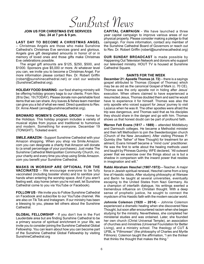SunBurst News

### **JOIN US FOR CHRISTMAS EVE SERVICES Dec. 24 at 7 pm & 9 pm.**

**LAST DAY TO BECOME A CHRISTMAS ANGEL** – Christmas Angels are those who make Sunshine Cathedral's Christmas Eve services grand and glorious. Angels give gift designated amounts in honor of or in memory of loved ones and those gifts make Christmas Eve celebrations possible.

The angel gift amounts are \$125, \$250, \$500, and \$1000. Sponsors give \$5,000 or more. At whatever level you can, we invite you to become a Christmas Angel. For more information please contact Rev. Dr. Robert Griffin (robert@sunshinecathedral.net) or visit our website (SunshineCathedral.org).

**HOLIDAY FOOD SHARING** - our food sharing ministry will be offering holiday grocery bags to our clients. From Nov. 28 to Dec. 19 (TODAY). Please donate non-perishable food items that we can share. Any loaves & fishes team member can give you a list of what we need. Direct questions to Rev. Dr. Anne Atwell (anne@sunshinecathedral.org).

**BROWARD WOMEN'S CHORAL GROUP** - Home for the Holidays. This holiday program includes a variety of musical styles from joyous and traditional to humorous and modern. Something for everyone. December 19 (TONIGHT). Ticketed event.

**SMILE.AMAZON** - Support Sunshine Cathedral with your Amazon shopping. When you shop via Smile.Amazon. com you can designate a charity that Amazon will donate to (a small percentage of your purchases). Just make The Sunshine Cathedral Metropolitan Community Church, inc. your charity and every time you shop using Smile.Amazon. com you benefit your Sunshine Cathedral.

**MASKS IN WORSHIP ARE OPTIONAL FOR THE VACCINATED** – We encourage everyone to be fully vaccinated (including booster shots) and to sanitize your hands when entering the worship space. And if you aren't feeling well, stay home (when you're not well, let Sunshine Cathedral come to you via YouTube or Facebook).

**FOLLOW US** - We invite you to Follow Sunshine Cathedral on Facebook and subscribe to our YouTube channel. We are also on Tik Tok and Instagram. If our ministry has been a blessing to you, please tell others about the Sunshine Cathedral.

**GLOBAL FELLOWSHIP** - If you don't live in the Fort Lauderdale area but are finding Sunshine Cathedral to be a primary source of spiritual enrichment in your life, we invite you to consider joining the Sunshine Cathedral Global Fellowship. You can learn about how you can become part of the Sunshine Cathedral Global Fellowship by visiting SunshineCathedral.org

**CAPITAL CAMPAIGN** - We have launched a three year capital campaign to improve various areas of our physical property. Please consider making a pledge to that campaign. For more information, contact any member of the Sunshine Cathedral Board of Governors or reach out to Rev. Dr. Robert Griffin (robert@sunshinecathedral.org)

**OUR SUNDAY BROADCAST** is made possible by Happening Out Television Network and donors who support our televised ministry. HOUT TV is housed at Sunshine Cathedral Square.

### **SAINTS FOR THE WEEK**

**December 21: Apostle Thomas (d. 72)** – there is a sayings gospel attributed to Thomas (Gospel of Thomas) which may be as old as the canonical Gospel of Mark (c. 70 CE). Thomas was the only apostle not in hiding after Jesus' execution. When others claimed to have experienced a resurrected Jesus, Thomas doubted them and said he would have to experience it for himself. Thomas was also the only apostle who voiced support for Jesus' journey to visit Lazarus when he was ill. The other apostles were afraid the trip was dangerous, and Thomas said that as his disciples they should share in the danger and go with him. Thomas shows us that honest doubt can be part of profound faith.

**Warren Felt Evans (1817 – 1889)** – attended Middlebury and Darmouth colleges. He became a Methodist minister and then left Methodism to join the Swedenborgian church (Church of the New Jerusalem). After visiting Phineas P. Quimby (the "father" of New Thought) for treatment for an ailment, Evans himself became a "mind cure" practitioner. He was the first to write about the healing methods used and taught by Phineas Quimby. WFE declared, "All outward power that we exercise over the things about us is but a shadow in comparison with the inward power that resides in imagination and will."

**Rabbi Abraham Heschel (1907-1972)**—Teacher. A major force in Jewish spiritual renewal, Heschel came from a long line of Hasidic rabbis. After studying philosophy at Warsaw and Berlin he taught at several universities, eventually escaping to the United States from Nazi Germany. As a champion of interfaith dialogue, his writings exerted a tremendous influence on Christian thought. With a deep sense of prophetic justice, he sought to connect the mysticism of his Hasidic faith with the modern secular world.

**Johnnie Colemon (1920 – 2014)** – Johnnie Colemon experienced a dramatic healing when she discovered New Thought, but soon after encountered racism when she began studying for the ministry. Nevertheless, she completed her ministerial studies and was ordained. Later, she founded her own church (Christ Universal Temple), an association of churches and ministries (Universal Foundation for Better Living), and a ministry school. The theology of CUT & UFBL is "Fillmorean" (the philosophy of Charles and Myrtle Fillmore). Colemon taught the affirmation, "I am the thinker that thinks the thought that makes the thing."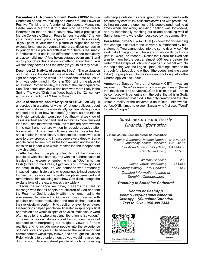**December 24: Norman Vincent Peale (1898-1993)** – Champion of positive thinking and author of The Power of Positive Thinking and founder of Guideposts Magazine. Peale was a Methodist minister who became Dutch Reformed so that he could pastor New York's prestigious Marble Collegiate Church. Peale famously taught, "Change your thoughts and you change your world." He also said, "If you paint in your mind a picture of bright and happy expectations, you put yourself into a condition conducive to your goal." He praised enthusiasm: "There is real magic in enthusiasm. It spells the difference between mediocrity and accomplishment." And he encouraged optimism: "Stand up to your obstacles and do something about them. You will find they haven't half the strength you think they have."

**December 25: Nativity of Jesus (c. 4 bce)**—The celebration of Christmas at the darkest days of Winter marks the birth of light and hope for the world. The traditional date of Jesus' birth was determined in Rome in 336, taking the place of an existing Roman holiday, the birth of the Unconquerable Sun. The actual date Jesus was born was more likely in the Spring. The word "Christmas" goes back to the 12th century and is a contraction of "Christ's Mass."

**Jesus of Nazareth, son of Mary (circa 4 BCE – 29 CE)** - is understood in a variety of ways. What one believes about Jesus has to do with how mystically/spiritually/allegorically oriented one is, or how "concrete" (or literalist) one tries to be. Historical criticism would point out that what we know of Jesus is at best second hand (and sometimes more removed than that), and that words attributed to him are never written in his own hand, but are written by people decades after his execution. His original followers saw him as a teacher and a healer. He was clearly a charismatic person who was able to draw crowds and impact people very deeply. Some people came to view him as the long awaited and hoped for messiah (a leader who would reestablish the independent Jewish state).

After his death, people glorified him all the more (as people do with slain heroes), and within a hundred years of his death some were remembering him as "God" in human flesh (similar to the Greek, Egyptian, and Roman gods of the time). In any case, he was someone who profoundly impacted human history and who continues to inspire people thousands of years after his death. People experienced and remembered him as being somehow God-filled, though the explanations of the experiences vary widely.

From the evidence we have, it seems that Jesus' message was that all people are children of God and that the Realm of God is actually within the human spirit. He also seemed to believe that God was more concerned with people's character, motivation, and true desires than with their religiosity or conformity to tradition or even to scripture. His teachings helped people feel liberated in spite of political oppression and whole in spite of physical maladies. A word often used for this wholeness and liberation is "salvation."

Jesus, or so our stories about him suggest, was not opposed to reinterpreting old religious views to fit new realities and to include more people into the experience of God's love and grace. He believed the most important commandment was simply to love, and he taught the Golden Rule, which is to do unto others as you would have others do unto you. He scandalized people of his time by eating

with people outside his social group, by being friendly with presumably corrupt tax collectors as well as with prostitutes, by healing even the enemies of his people (and healing at times when any work, including healing was forbidden), and by intentionally reaching out to and speaking well of Samaritans (who were often despised by his community).

**Heraclitus (circa 535 – 475 BCE)** - known for his teaching that change is central to the universe, summarized by his statement, "You cannot step into the same river twice." He said that all things come to be in accordance with the Logos (that is, "word," or "reason"). Notice that Heraclitus lived half a millennium before Jesus, almost 600 years before the writer of the Gospel of John (who opens his Gospel with, "In the beginning was the Logos…[and] all things came to be through [the Logos], and without [the Logos] nothing came to be"). Logos philosophy was alive and well long before the Church applied it to Jesus.

Ammonius Saccas (mid-third century CE?) - was an exponent of Neo-Platonism which was pantheistic (belief that the divine is all pervasive…God is all or is in all…not to be confused with panentheism, the belief that all is in God). Saccaas believed that God is the only creator and that the ultimate reality of the universe is an infinite, unknowable, perfect ONE. It may have been Saccas who first used "Word" to define "Logos."

# *Sunshine Cathedral Weekly Financial Information*

*Financial Data Snapshot from 12 December*

| <b>Weekly Generosity Income Needed</b><br>Generosity Income Received | \$10,797.56<br>\$41,242.14 |
|----------------------------------------------------------------------|----------------------------|
| Our Abundance and/or (Need)                                          | \$30,444.58                |
| Per Capita Giving                                                    | \$15.85                    |
|                                                                      |                            |
| <b>Worship Services</b>                                              | 290                        |
| <b>Online Virtual Resourcing</b>                                     | 234,661                    |
| Food Sharing Ministry - Total Reached                                | 547                        |
| Detailed information located at<br>SunshineCathedral.org             |                            |

*Donating to Sunshine Cathedral* 

*Venmo or CashApp Venmo - @SunshineCathedral CashApp - \$SunshineCathedral Text to Give - 954.399.7333*



Sunshine Cathedral **B** Scan to pay \$SunshineCathedral



venma